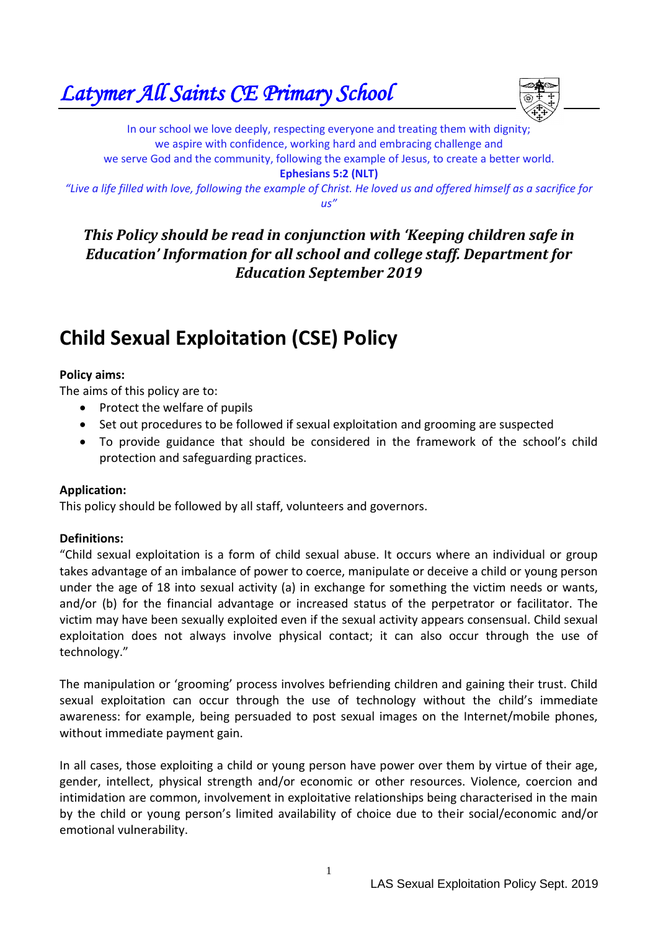*Latymer All Saints CE Primary School* 



In our school we love deeply, respecting everyone and treating them with dignity; we aspire with confidence, working hard and embracing challenge and we serve God and the community, following the example of Jesus, to create a better world. **Ephesians 5:2 (NLT)** *"Live a life filled with love, following the example of Christ. He loved us and offered himself as a sacrifice for* 

*us"*

# *This Policy should be read in conjunction with 'Keeping children safe in Education' Information for all school and college staff. Department for Education September 2019*

# **Child Sexual Exploitation (CSE) Policy**

### **Policy aims:**

The aims of this policy are to:

- Protect the welfare of pupils
- Set out procedures to be followed if sexual exploitation and grooming are suspected
- To provide guidance that should be considered in the framework of the school's child protection and safeguarding practices.

# **Application:**

This policy should be followed by all staff, volunteers and governors.

# **Definitions:**

"Child sexual exploitation is a form of child sexual abuse. It occurs where an individual or group takes advantage of an imbalance of power to coerce, manipulate or deceive a child or young person under the age of 18 into sexual activity (a) in exchange for something the victim needs or wants, and/or (b) for the financial advantage or increased status of the perpetrator or facilitator. The victim may have been sexually exploited even if the sexual activity appears consensual. Child sexual exploitation does not always involve physical contact; it can also occur through the use of technology."

The manipulation or 'grooming' process involves befriending children and gaining their trust. Child sexual exploitation can occur through the use of technology without the child's immediate awareness: for example, being persuaded to post sexual images on the Internet/mobile phones, without immediate payment gain.

In all cases, those exploiting a child or young person have power over them by virtue of their age, gender, intellect, physical strength and/or economic or other resources. Violence, coercion and intimidation are common, involvement in exploitative relationships being characterised in the main by the child or young person's limited availability of choice due to their social/economic and/or emotional vulnerability.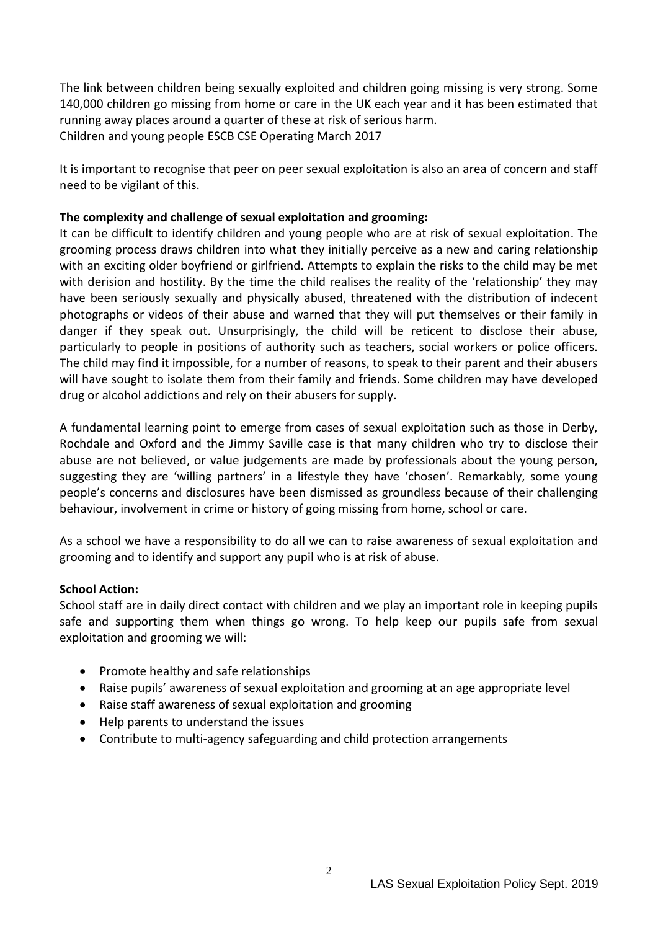The link between children being sexually exploited and children going missing is very strong. Some 140,000 children go missing from home or care in the UK each year and it has been estimated that running away places around a quarter of these at risk of serious harm. Children and young people ESCB CSE Operating March 2017

It is important to recognise that peer on peer sexual exploitation is also an area of concern and staff need to be vigilant of this.

#### **The complexity and challenge of sexual exploitation and grooming:**

It can be difficult to identify children and young people who are at risk of sexual exploitation. The grooming process draws children into what they initially perceive as a new and caring relationship with an exciting older boyfriend or girlfriend. Attempts to explain the risks to the child may be met with derision and hostility. By the time the child realises the reality of the 'relationship' they may have been seriously sexually and physically abused, threatened with the distribution of indecent photographs or videos of their abuse and warned that they will put themselves or their family in danger if they speak out. Unsurprisingly, the child will be reticent to disclose their abuse, particularly to people in positions of authority such as teachers, social workers or police officers. The child may find it impossible, for a number of reasons, to speak to their parent and their abusers will have sought to isolate them from their family and friends. Some children may have developed drug or alcohol addictions and rely on their abusers for supply.

A fundamental learning point to emerge from cases of sexual exploitation such as those in Derby, Rochdale and Oxford and the Jimmy Saville case is that many children who try to disclose their abuse are not believed, or value judgements are made by professionals about the young person, suggesting they are 'willing partners' in a lifestyle they have 'chosen'. Remarkably, some young people's concerns and disclosures have been dismissed as groundless because of their challenging behaviour, involvement in crime or history of going missing from home, school or care.

As a school we have a responsibility to do all we can to raise awareness of sexual exploitation and grooming and to identify and support any pupil who is at risk of abuse.

#### **School Action:**

School staff are in daily direct contact with children and we play an important role in keeping pupils safe and supporting them when things go wrong. To help keep our pupils safe from sexual exploitation and grooming we will:

- Promote healthy and safe relationships
- Raise pupils' awareness of sexual exploitation and grooming at an age appropriate level
- Raise staff awareness of sexual exploitation and grooming
- Help parents to understand the issues
- Contribute to multi-agency safeguarding and child protection arrangements